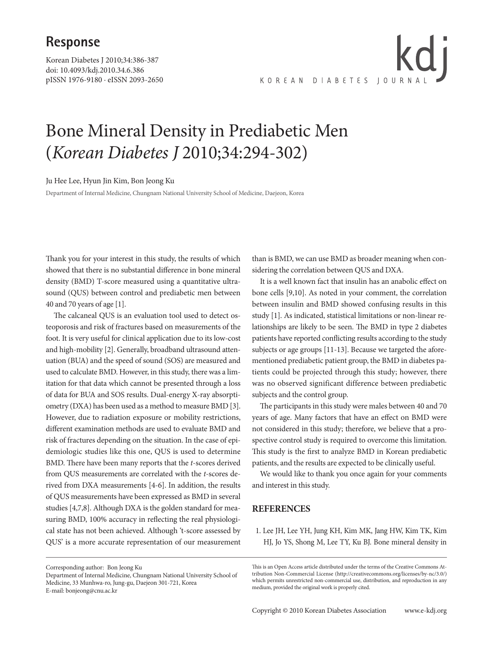## **Response**

Korean Diabetes J 2010;34:386-387 doi: 10.4093/kdj.2010.34.6.386 pISSN 1976-9180 · eISSN 2093-2650

kd i KOREAN DIABETES JOURNA

## Bone Mineral Density in Prediabetic Men (*Korean Diabetes J* 2010;34:294-302)

Ju Hee Lee, Hyun Jin Kim, Bon Jeong Ku

Department of Internal Medicine, Chungnam National University School of Medicine, Daejeon, Korea

Thank you for your interest in this study, the results of which showed that there is no substantial difference in bone mineral density (BMD) T-score measured using a quantitative ultrasound (QUS) between control and prediabetic men between 40 and 70 years of age [1].

The calcaneal QUS is an evaluation tool used to detect osteoporosis and risk of fractures based on measurements of the foot. It is very useful for clinical application due to its low-cost and high-mobility [2]. Generally, broadband ultrasound attenuation (BUA) and the speed of sound (SOS) are measured and used to calculate BMD. However, in this study, there was a limitation for that data which cannot be presented through a loss of data for BUA and SOS results. Dual-energy X-ray absorptiometry (DXA) has been used as a method to measure BMD [3]. However, due to radiation exposure or mobility restrictions, different examination methods are used to evaluate BMD and risk of fractures depending on the situation. In the case of epidemiologic studies like this one, QUS is used to determine BMD. There have been many reports that the *t*-scores derived from QUS measurements are correlated with the *t*-scores derived from DXA measurements [4-6]. In addition, the results of QUS measurements have been expressed as BMD in several studies [4,7,8]. Although DXA is the golden standard for measuring BMD, 100% accuracy in reflecting the real physiological state has not been achieved. Although 't-score assessed by QUS' is a more accurate representation of our measurement than is BMD, we can use BMD as broader meaning when considering the correlation between QUS and DXA.

It is a well known fact that insulin has an anabolic effect on bone cells [9,10]. As noted in your comment, the correlation between insulin and BMD showed confusing results in this study [1]. As indicated, statistical limitations or non-linear relationships are likely to be seen. The BMD in type 2 diabetes patients have reported conflicting results according to the study subjects or age groups [11-13]. Because we targeted the aforementioned prediabetic patient group, the BMD in diabetes patients could be projected through this study; however, there was no observed significant difference between prediabetic subjects and the control group.

The participants in this study were males between 40 and 70 years of age. Many factors that have an effect on BMD were not considered in this study; therefore, we believe that a prospective control study is required to overcome this limitation. This study is the first to analyze BMD in Korean prediabetic patients, and the results are expected to be clinically useful.

We would like to thank you once again for your comments and interest in this study.

## **REFERENCES**

1. Lee JH, Lee YH, Jung KH, Kim MK, Jang HW, Kim TK, Kim HJ, Jo YS, Shong M, Lee TY, Ku BJ. Bone mineral density in

Corresponding author: Bon Jeong Ku

Department of Internal Medicine, Chungnam National University School of Medicine, 33 Munhwa-ro, Jung-gu, Daejeon 301-721, Korea E-mail: bonjeong@cnu.ac.kr

This is an Open Access article distributed under the terms of the Creative Commons Attribution Non-Commercial License (http://creativecommons.org/licenses/by-nc/3.0/) which permits unrestricted non-commercial use, distribution, and reproduction in any medium, provided the original work is properly cited.